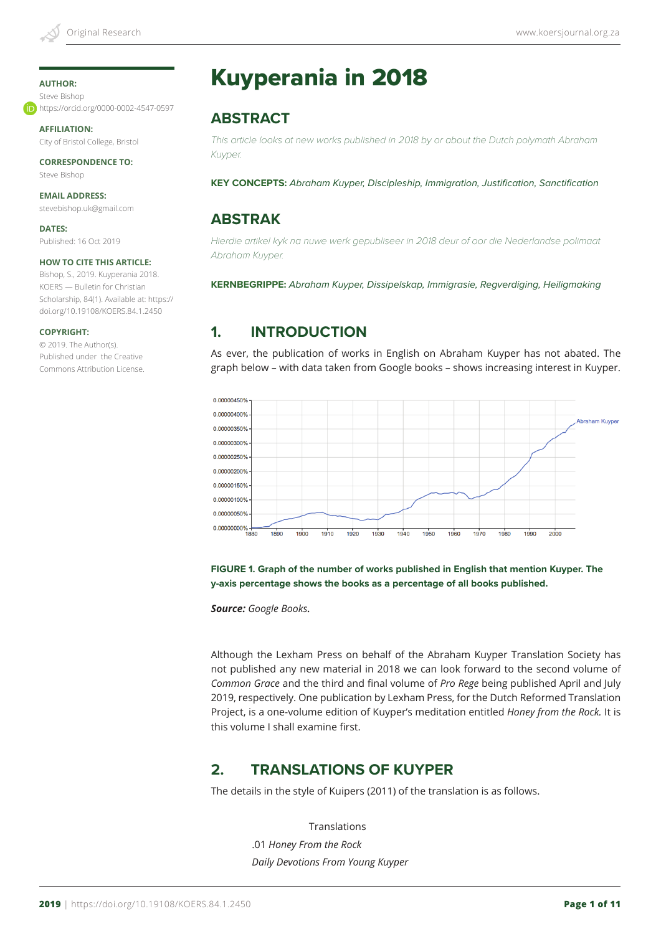#### **AUTHOR:**

Steve Bishop https://orcid.org/0000-0002-4547-0597

**AFFILIATION:** City of Bristol College, Bristol

**CORRESPONDENCE TO:** Steve Bishop

**EMAIL ADDRESS:** stevebishop.uk@gmail.com

**DATES:** Published: 16 Oct 2019

#### **HOW TO CITE THIS ARTICLE:**

Bishop, S., 2019. Kuyperania 2018. KOERS — Bulletin for Christian Scholarship, 84(1). Available at: https:// doi.org/10.19108/KOERS.84.1.2450

#### **COPYRIGHT:**

© 2019. The Author(s). Published under the Creative Commons Attribution License.

# Kuyperania in 2018

# **ABSTRACT**

*This article looks at new works published in 2018 by or about the Dutch polymath Abraham Kuyper.*

**KEY CONCEPTS:** *Abraham Kuyper, Discipleship, Immigration, Justification, Sanctification*

## **ABSTRAK**

*Hierdie artikel kyk na nuwe werk gepubliseer in 2018 deur of oor die Nederlandse polimaat Abraham Kuyper.* 

**KERNBEGRIPPE:** *Abraham Kuyper, Dissipelskap, Immigrasie, Regverdiging, Heiligmaking*

## **1. INTRODUCTION**

As ever, the publication of works in English on Abraham Kuyper has not abated. The graph below – with data taken from Google books – shows increasing interest in Kuyper.



**FIGURE 1. Graph of the number of works published in English that mention Kuyper. The y-axis percentage shows the books as a percentage of all books published.**

*Source: Google Books.*

Although the Lexham Press on behalf of the Abraham Kuyper Translation Society has not published any new material in 2018 we can look forward to the second volume of *Common Grace* and the third and final volume of *Pro Rege* being published April and July 2019, respectively. One publication by Lexham Press, for the Dutch Reformed Translation Project, is a one-volume edition of Kuyper's meditation entitled *Honey from the Rock.* It is this volume I shall examine first.

# **2. TRANSLATIONS OF KUYPER**

The details in the style of Kuipers (2011) of the translation is as follows.

 Translations .01 *Honey From the Rock Daily Devotions From Young Kuyper*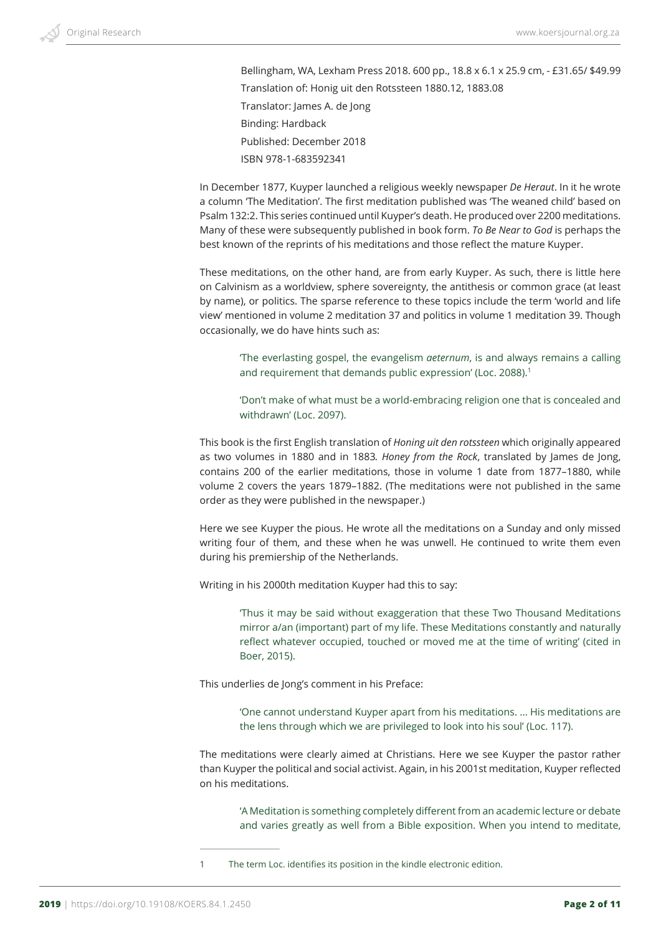Bellingham, WA, Lexham Press 2018. 600 pp., 18.8 x 6.1 x 25.9 cm, - £31.65/ \$49.99 Translation of: Honig uit den Rotssteen 1880.12, 1883.08 Translator: James A. de Jong Binding: Hardback Published: December 2018 ISBN 978-1-683592341

In December 1877, Kuyper launched a religious weekly newspaper *De Heraut*. In it he wrote a column 'The Meditation'. The first meditation published was 'The weaned child' based on Psalm 132:2. This series continued until Kuyper's death. He produced over 2200 meditations. Many of these were subsequently published in book form. *To Be Near to God* is perhaps the best known of the reprints of his meditations and those reflect the mature Kuyper.

These meditations, on the other hand, are from early Kuyper. As such, there is little here on Calvinism as a worldview, sphere sovereignty, the antithesis or common grace (at least by name), or politics. The sparse reference to these topics include the term 'world and life view' mentioned in volume 2 meditation 37 and politics in volume 1 meditation 39. Though occasionally, we do have hints such as:

'The everlasting gospel, the evangelism *aeternum*, is and always remains a calling and requirement that demands public expression' (Loc. 2088).<sup>1</sup>

'Don't make of what must be a world-embracing religion one that is concealed and withdrawn' (Loc. 2097).

This book is the first English translation of *Honing uit den rotssteen* which originally appeared as two volumes in 1880 and in 1883*. Honey from the Rock*, translated by James de Jong, contains 200 of the earlier meditations, those in volume 1 date from 1877–1880, while volume 2 covers the years 1879–1882. (The meditations were not published in the same order as they were published in the newspaper.)

Here we see Kuyper the pious. He wrote all the meditations on a Sunday and only missed writing four of them, and these when he was unwell. He continued to write them even during his premiership of the Netherlands.

Writing in his 2000th meditation Kuyper had this to say:

'Thus it may be said without exaggeration that these Two Thousand Meditations mirror a/an (important) part of my life. These Meditations constantly and naturally reflect whatever occupied, touched or moved me at the time of writing' (cited in Boer, 2015).

This underlies de Jong's comment in his Preface:

'One cannot understand Kuyper apart from his meditations. ... His meditations are the lens through which we are privileged to look into his soul' (Loc. 117).

The meditations were clearly aimed at Christians. Here we see Kuyper the pastor rather than Kuyper the political and social activist. Again, in his 2001st meditation, Kuyper reflected on his meditations.

'A Meditation is something completely different from an academic lecture or debate and varies greatly as well from a Bible exposition. When you intend to meditate,

1 The term Loc. identifies its position in the kindle electronic edition.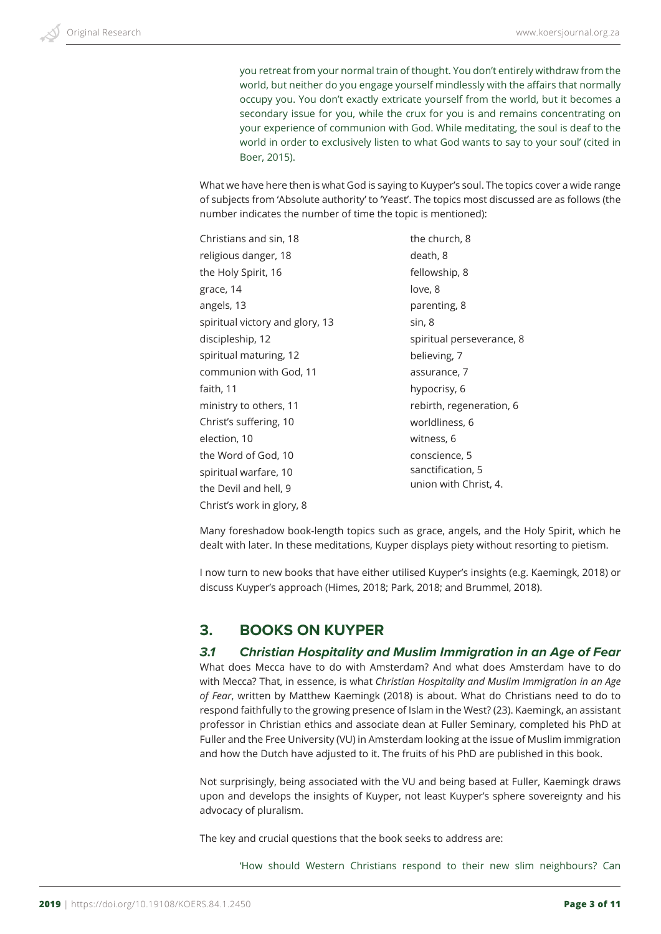you retreat from your normal train of thought. You don't entirely withdraw from the world, but neither do you engage yourself mindlessly with the affairs that normally occupy you. You don't exactly extricate yourself from the world, but it becomes a secondary issue for you, while the crux for you is and remains concentrating on your experience of communion with God. While meditating, the soul is deaf to the world in order to exclusively listen to what God wants to say to your soul' (cited in Boer, 2015).

What we have here then is what God is saying to Kuyper's soul. The topics cover a wide range of subjects from 'Absolute authority' to 'Yeast'. The topics most discussed are as follows (the number indicates the number of time the topic is mentioned):

| Christians and sin, 18          | the church, 8             |
|---------------------------------|---------------------------|
| religious danger, 18            | death, 8                  |
| the Holy Spirit, 16             | fellowship, 8             |
| grace, 14                       | love, 8                   |
| angels, 13                      | parenting, 8              |
| spiritual victory and glory, 13 | sin, 8                    |
| discipleship, 12                | spiritual perseverance, 8 |
| spiritual maturing, 12          | believing, 7              |
| communion with God, 11          | assurance, 7              |
| faith, 11                       | hypocrisy, 6              |
| ministry to others, 11          | rebirth, regeneration, 6  |
| Christ's suffering, 10          | worldliness, 6            |
| election, 10                    | witness, 6                |
| the Word of God, 10             | conscience, 5             |
| spiritual warfare, 10           | sanctification, 5         |
| the Devil and hell, 9           | union with Christ, 4.     |
| Christ's work in glory, 8       |                           |

Many foreshadow book-length topics such as grace, angels, and the Holy Spirit, which he dealt with later. In these meditations, Kuyper displays piety without resorting to pietism.

I now turn to new books that have either utilised Kuyper's insights (e.g. Kaemingk, 2018) or discuss Kuyper's approach (Himes, 2018; Park, 2018; and Brummel, 2018).

## **3. BOOKS ON KUYPER**

#### *3.1 Christian Hospitality and Muslim Immigration in an Age of Fear*

What does Mecca have to do with Amsterdam? And what does Amsterdam have to do with Mecca? That, in essence, is what *Christian Hospitality and Muslim Immigration in an Age of Fear*, written by Matthew Kaemingk (2018) is about. What do Christians need to do to respond faithfully to the growing presence of Islam in the West? (23). Kaemingk, an assistant professor in Christian ethics and associate dean at Fuller Seminary, completed his PhD at Fuller and the Free University (VU) in Amsterdam looking at the issue of Muslim immigration and how the Dutch have adjusted to it. The fruits of his PhD are published in this book.

Not surprisingly, being associated with the VU and being based at Fuller, Kaemingk draws upon and develops the insights of Kuyper, not least Kuyper's sphere sovereignty and his advocacy of pluralism.

The key and crucial questions that the book seeks to address are:

'How should Western Christians respond to their new slim neighbours? Can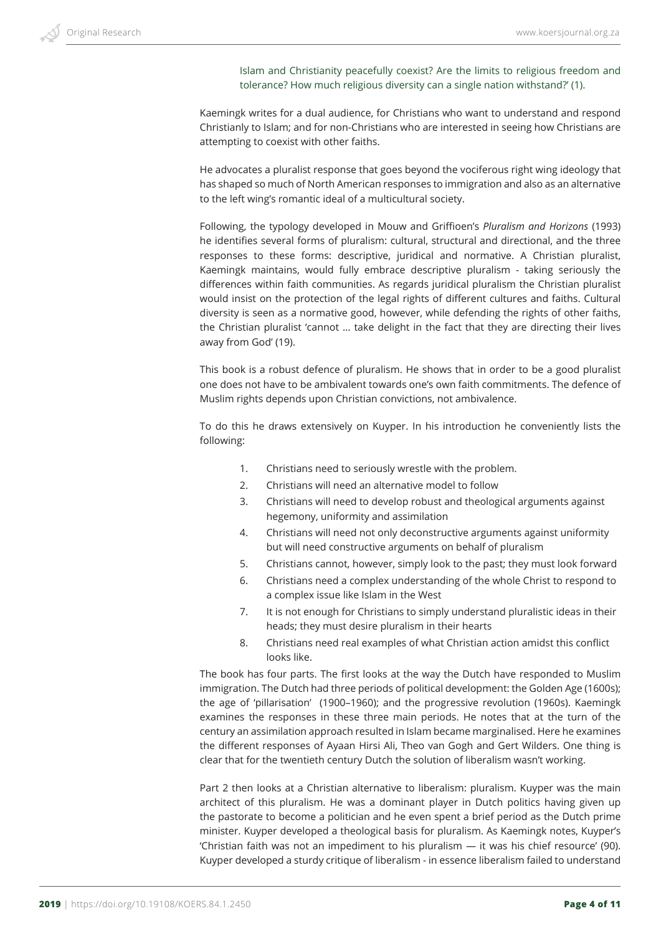Islam and Christianity peacefully coexist? Are the limits to religious freedom and tolerance? How much religious diversity can a single nation withstand?' (1).

Kaemingk writes for a dual audience, for Christians who want to understand and respond Christianly to Islam; and for non-Christians who are interested in seeing how Christians are attempting to coexist with other faiths.

He advocates a pluralist response that goes beyond the vociferous right wing ideology that has shaped so much of North American responses to immigration and also as an alternative to the left wing's romantic ideal of a multicultural society.

Following, the typology developed in Mouw and Griffioen's *Pluralism and Horizons* (1993) he identifies several forms of pluralism: cultural, structural and directional, and the three responses to these forms: descriptive, juridical and normative. A Christian pluralist, Kaemingk maintains, would fully embrace descriptive pluralism - taking seriously the differences within faith communities. As regards juridical pluralism the Christian pluralist would insist on the protection of the legal rights of different cultures and faiths. Cultural diversity is seen as a normative good, however, while defending the rights of other faiths, the Christian pluralist 'cannot … take delight in the fact that they are directing their lives away from God' (19).

This book is a robust defence of pluralism. He shows that in order to be a good pluralist one does not have to be ambivalent towards one's own faith commitments. The defence of Muslim rights depends upon Christian convictions, not ambivalence.

To do this he draws extensively on Kuyper. In his introduction he conveniently lists the following:

- 1. Christians need to seriously wrestle with the problem.
- 2. Christians will need an alternative model to follow
- 3. Christians will need to develop robust and theological arguments against hegemony, uniformity and assimilation
- 4. Christians will need not only deconstructive arguments against uniformity but will need constructive arguments on behalf of pluralism
- 5. Christians cannot, however, simply look to the past; they must look forward
- 6. Christians need a complex understanding of the whole Christ to respond to a complex issue like Islam in the West
- 7. It is not enough for Christians to simply understand pluralistic ideas in their heads; they must desire pluralism in their hearts
- 8. Christians need real examples of what Christian action amidst this conflict looks like.

The book has four parts. The first looks at the way the Dutch have responded to Muslim immigration. The Dutch had three periods of political development: the Golden Age (1600s); the age of 'pillarisation' (1900–1960); and the progressive revolution (1960s). Kaemingk examines the responses in these three main periods. He notes that at the turn of the century an assimilation approach resulted in Islam became marginalised. Here he examines the different responses of Ayaan Hirsi Ali, Theo van Gogh and Gert Wilders. One thing is clear that for the twentieth century Dutch the solution of liberalism wasn't working.

Part 2 then looks at a Christian alternative to liberalism: pluralism. Kuyper was the main architect of this pluralism. He was a dominant player in Dutch politics having given up the pastorate to become a politician and he even spent a brief period as the Dutch prime minister. Kuyper developed a theological basis for pluralism. As Kaemingk notes, Kuyper's 'Christian faith was not an impediment to his pluralism — it was his chief resource' (90). Kuyper developed a sturdy critique of liberalism - in essence liberalism failed to understand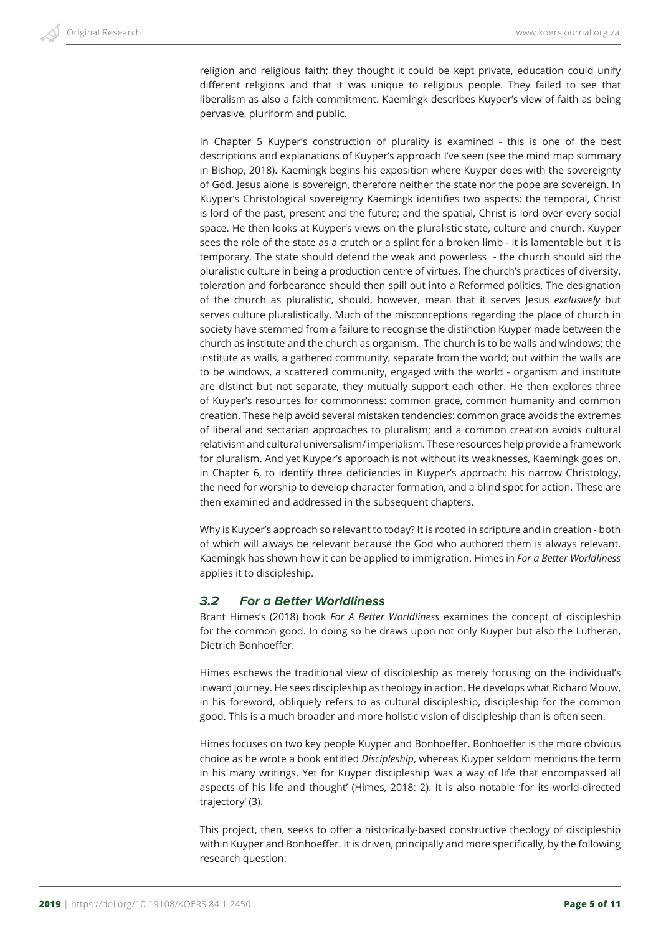religion and religious faith; they thought it could be kept private, education could unify different religions and that it was unique to religious people. They failed to see that liberalism as also a faith commitment. Kaemingk describes Kuyper's view of faith as being pervasive, pluriform and public.

In Chapter 5 Kuyper's construction of plurality is examined - this is one of the best descriptions and explanations of Kuyper's approach I've seen (see the mind map summary in Bishop, 2018). Kaemingk begins his exposition where Kuyper does with the sovereignty of God. Jesus alone is sovereign, therefore neither the state nor the pope are sovereign. In Kuyper's Christological sovereignty Kaemingk identifies two aspects: the temporal, Christ is lord of the past, present and the future; and the spatial, Christ is lord over every social space. He then looks at Kuyper's views on the pluralistic state, culture and church. Kuyper sees the role of the state as a crutch or a splint for a broken limb - it is lamentable but it is temporary. The state should defend the weak and powerless - the church should aid the pluralistic culture in being a production centre of virtues. The church's practices of diversity, toleration and forbearance should then spill out into a Reformed politics. The designation of the church as pluralistic, should, however, mean that it serves Jesus *exclusively* but serves culture pluralistically. Much of the misconceptions regarding the place of church in society have stemmed from a failure to recognise the distinction Kuyper made between the church as institute and the church as organism. The church is to be walls and windows; the institute as walls, a gathered community, separate from the world; but within the walls are to be windows, a scattered community, engaged with the world - organism and institute are distinct but not separate, they mutually support each other. He then explores three of Kuyper's resources for commonness: common grace, common humanity and common creation. These help avoid several mistaken tendencies: common grace avoids the extremes of liberal and sectarian approaches to pluralism; and a common creation avoids cultural relativism and cultural universalism/ imperialism. These resources help provide a framework for pluralism. And yet Kuyper's approach is not without its weaknesses, Kaemingk goes on, in Chapter 6, to identify three deficiencies in Kuyper's approach: his narrow Christology, the need for worship to develop character formation, and a blind spot for action. These are then examined and addressed in the subsequent chapters.

Why is Kuyper's approach so relevant to today? It is rooted in scripture and in creation - both of which will always be relevant because the God who authored them is always relevant. Kaemingk has shown how it can be applied to immigration. Himes in *For a Better Worldliness* applies it to discipleship.

## *3.2 For a Better Worldliness*

Brant Himes's (2018) book *For A Better Worldliness* examines the concept of discipleship for the common good. In doing so he draws upon not only Kuyper but also the Lutheran, Dietrich Bonhoeffer.

Himes eschews the traditional view of discipleship as merely focusing on the individual's inward journey. He sees discipleship as theology in action. He develops what Richard Mouw, in his foreword, obliquely refers to as cultural discipleship, discipleship for the common good. This is a much broader and more holistic vision of discipleship than is often seen.

Himes focuses on two key people Kuyper and Bonhoeffer. Bonhoeffer is the more obvious choice as he wrote a book entitled *Discipleship*, whereas Kuyper seldom mentions the term in his many writings. Yet for Kuyper discipleship 'was a way of life that encompassed all aspects of his life and thought' (Himes, 2018: 2). It is also notable 'for its world-directed trajectory' (3).

This project, then, seeks to offer a historically-based constructive theology of discipleship within Kuyper and Bonhoeffer. It is driven, principally and more specifically, by the following research question: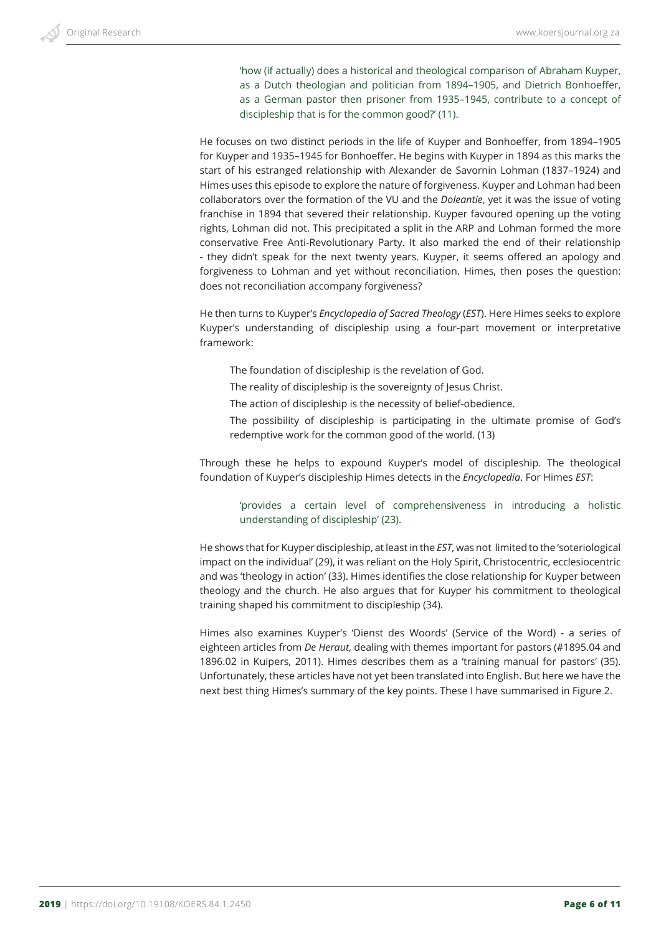'how (if actually) does a historical and theological comparison of Abraham Kuyper, as a Dutch theologian and politician from 1894–1905, and Dietrich Bonhoeffer, as a German pastor then prisoner from 1935–1945, contribute to a concept of discipleship that is for the common good?' (11).

He focuses on two distinct periods in the life of Kuyper and Bonhoeffer, from 1894–1905 for Kuyper and 1935–1945 for Bonhoeffer. He begins with Kuyper in 1894 as this marks the start of his estranged relationship with Alexander de Savornin Lohman (1837–1924) and Himes uses this episode to explore the nature of forgiveness. Kuyper and Lohman had been collaborators over the formation of the VU and the *Doleantie*, yet it was the issue of voting franchise in 1894 that severed their relationship. Kuyper favoured opening up the voting rights, Lohman did not. This precipitated a split in the ARP and Lohman formed the more conservative Free Anti-Revolutionary Party. It also marked the end of their relationship - they didn't speak for the next twenty years. Kuyper, it seems offered an apology and forgiveness to Lohman and yet without reconciliation. Himes, then poses the question: does not reconciliation accompany forgiveness?

He then turns to Kuyper's *Encyclopedia of Sacred Theology* (*EST*). Here Himes seeks to explore Kuyper's understanding of discipleship using a four-part movement or interpretative framework:

- The foundation of discipleship is the revelation of God.
- The reality of discipleship is the sovereignty of Jesus Christ.
- The action of discipleship is the necessity of belief-obedience.
- The possibility of discipleship is participating in the ultimate promise of God's redemptive work for the common good of the world. (13)

Through these he helps to expound Kuyper's model of discipleship. The theological foundation of Kuyper's discipleship Himes detects in the *Encyclopedia*. For Himes *EST*:

'provides a certain level of comprehensiveness in introducing a holistic understanding of discipleship' (23).

He shows that for Kuyper discipleship, at least in the *EST*, was not limited to the 'soteriological impact on the individual' (29), it was reliant on the Holy Spirit, Christocentric, ecclesiocentric and was 'theology in action' (33). Himes identifies the close relationship for Kuyper between theology and the church. He also argues that for Kuyper his commitment to theological training shaped his commitment to discipleship (34).

Himes also examines Kuyper's 'Dienst des Woords' (Service of the Word) - a series of eighteen articles from *De Heraut*, dealing with themes important for pastors (#1895.04 and 1896.02 in Kuipers, 2011). Himes describes them as a 'training manual for pastors' (35). Unfortunately, these articles have not yet been translated into English. But here we have the next best thing Himes's summary of the key points. These I have summarised in Figure 2.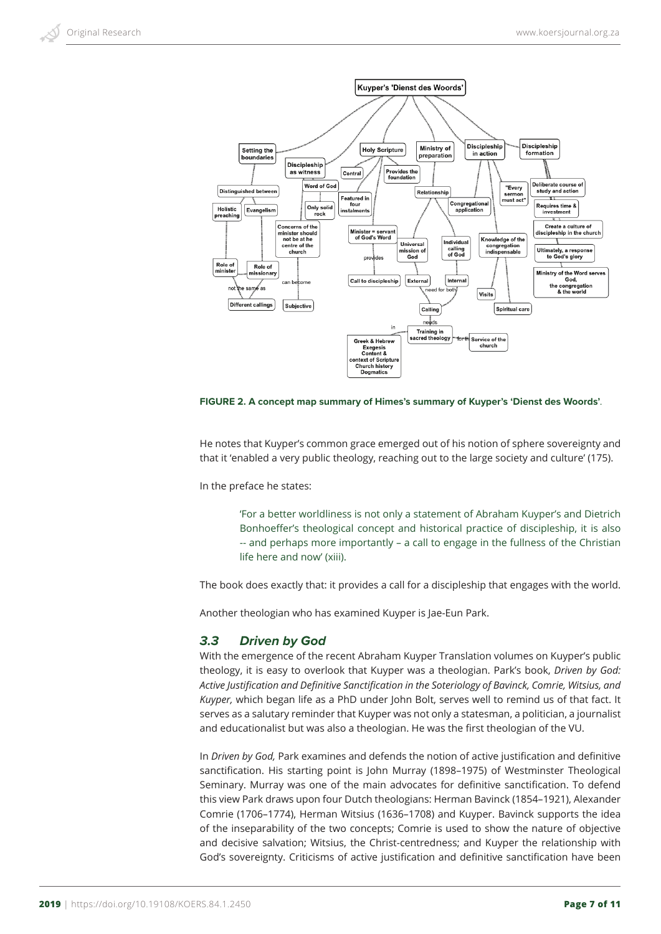

**FIGURE 2. A concept map summary of Himes's summary of Kuyper's 'Dienst des Woords'***.*

He notes that Kuyper's common grace emerged out of his notion of sphere sovereignty and that it 'enabled a very public theology, reaching out to the large society and culture' (175).

In the preface he states:

'For a better worldliness is not only a statement of Abraham Kuyper's and Dietrich Bonhoeffer's theological concept and historical practice of discipleship, it is also -- and perhaps more importantly – a call to engage in the fullness of the Christian life here and now' (xiii).

The book does exactly that: it provides a call for a discipleship that engages with the world.

Another theologian who has examined Kuyper is Jae-Eun Park.

## *3.3 Driven by God*

With the emergence of the recent Abraham Kuyper Translation volumes on Kuyper's public theology, it is easy to overlook that Kuyper was a theologian. Park's book, *Driven by God: Active Justification and Definitive Sanctification in the Soteriology of Bavinck, Comrie, Witsius, and Kuyper,* which began life as a PhD under John Bolt, serves well to remind us of that fact. It serves as a salutary reminder that Kuyper was not only a statesman, a politician, a journalist and educationalist but was also a theologian. He was the first theologian of the VU.

In *Driven by God,* Park examines and defends the notion of active justification and definitive sanctification. His starting point is John Murray (1898–1975) of Westminster Theological Seminary. Murray was one of the main advocates for definitive sanctification. To defend this view Park draws upon four Dutch theologians: Herman Bavinck (1854–1921), Alexander Comrie (1706–1774), Herman Witsius (1636–1708) and Kuyper. Bavinck supports the idea of the inseparability of the two concepts; Comrie is used to show the nature of objective and decisive salvation; Witsius, the Christ-centredness; and Kuyper the relationship with God's sovereignty. Criticisms of active justification and definitive sanctification have been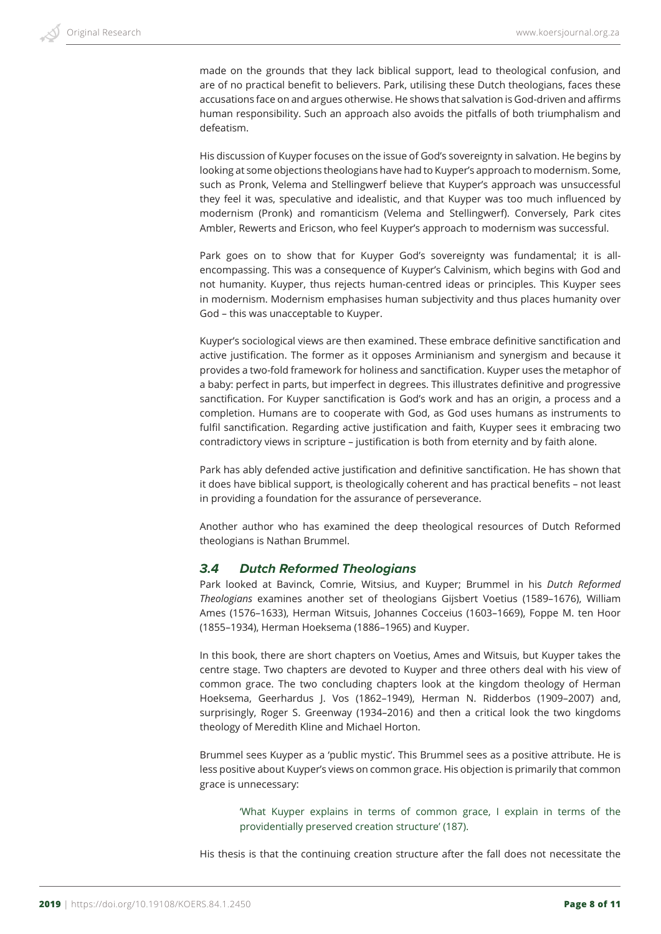made on the grounds that they lack biblical support, lead to theological confusion, and are of no practical benefit to believers. Park, utilising these Dutch theologians, faces these accusations face on and argues otherwise. He shows that salvation is God-driven and affirms human responsibility. Such an approach also avoids the pitfalls of both triumphalism and defeatism.

His discussion of Kuyper focuses on the issue of God's sovereignty in salvation. He begins by looking at some objections theologians have had to Kuyper's approach to modernism. Some, such as Pronk, Velema and Stellingwerf believe that Kuyper's approach was unsuccessful they feel it was, speculative and idealistic, and that Kuyper was too much influenced by modernism (Pronk) and romanticism (Velema and Stellingwerf). Conversely, Park cites Ambler, Rewerts and Ericson, who feel Kuyper's approach to modernism was successful.

Park goes on to show that for Kuyper God's sovereignty was fundamental; it is allencompassing. This was a consequence of Kuyper's Calvinism, which begins with God and not humanity. Kuyper, thus rejects human-centred ideas or principles. This Kuyper sees in modernism. Modernism emphasises human subjectivity and thus places humanity over God – this was unacceptable to Kuyper.

Kuyper's sociological views are then examined. These embrace definitive sanctification and active justification. The former as it opposes Arminianism and synergism and because it provides a two-fold framework for holiness and sanctification. Kuyper uses the metaphor of a baby: perfect in parts, but imperfect in degrees. This illustrates definitive and progressive sanctification. For Kuyper sanctification is God's work and has an origin, a process and a completion. Humans are to cooperate with God, as God uses humans as instruments to fulfil sanctification. Regarding active justification and faith, Kuyper sees it embracing two contradictory views in scripture – justification is both from eternity and by faith alone.

Park has ably defended active justification and definitive sanctification. He has shown that it does have biblical support, is theologically coherent and has practical benefits – not least in providing a foundation for the assurance of perseverance.

Another author who has examined the deep theological resources of Dutch Reformed theologians is Nathan Brummel.

#### *3.4 Dutch Reformed Theologians*

Park looked at Bavinck, Comrie, Witsius, and Kuyper; Brummel in his *Dutch Reformed Theologians* examines another set of theologians Gijsbert Voetius (1589–1676), William Ames (1576–1633), Herman Witsuis, Johannes Cocceius (1603–1669), Foppe M. ten Hoor (1855–1934), Herman Hoeksema (1886–1965) and Kuyper.

In this book, there are short chapters on Voetius, Ames and Witsuis, but Kuyper takes the centre stage. Two chapters are devoted to Kuyper and three others deal with his view of common grace. The two concluding chapters look at the kingdom theology of Herman Hoeksema, Geerhardus J. Vos (1862–1949), Herman N. Ridderbos (1909–2007) and, surprisingly, Roger S. Greenway (1934–2016) and then a critical look the two kingdoms theology of Meredith Kline and Michael Horton.

Brummel sees Kuyper as a 'public mystic'. This Brummel sees as a positive attribute. He is less positive about Kuyper's views on common grace. His objection is primarily that common grace is unnecessary:

'What Kuyper explains in terms of common grace, I explain in terms of the providentially preserved creation structure' (187).

His thesis is that the continuing creation structure after the fall does not necessitate the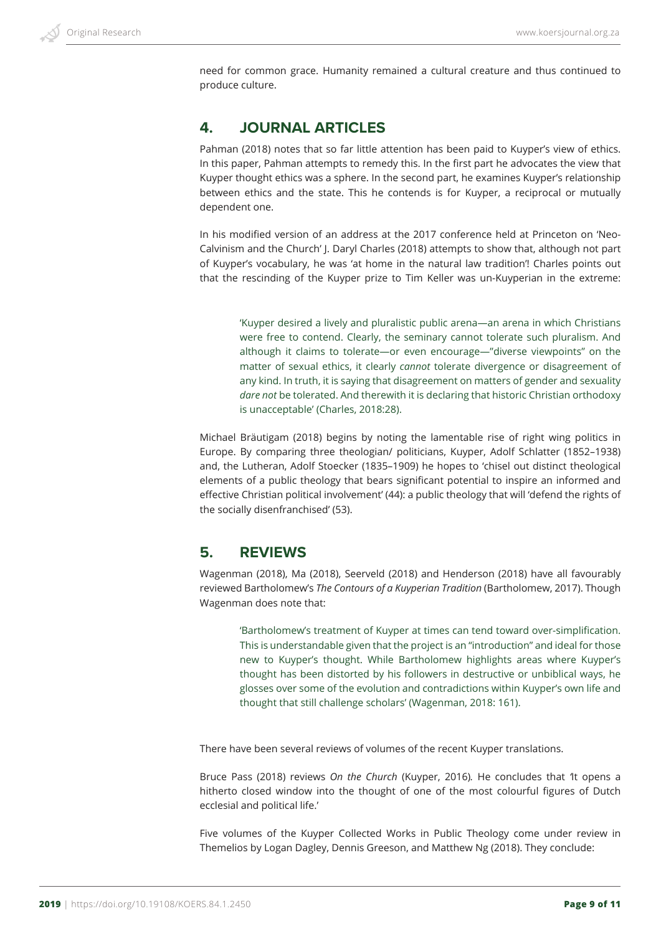need for common grace. Humanity remained a cultural creature and thus continued to produce culture.

## **4. JOURNAL ARTICLES**

Pahman (2018) notes that so far little attention has been paid to Kuyper's view of ethics. In this paper, Pahman attempts to remedy this. In the first part he advocates the view that Kuyper thought ethics was a sphere. In the second part, he examines Kuyper's relationship between ethics and the state. This he contends is for Kuyper, a reciprocal or mutually dependent one.

In his modified version of an address at the 2017 conference held at Princeton on 'Neo-Calvinism and the Church' J. Daryl Charles (2018) attempts to show that, although not part of Kuyper's vocabulary, he was 'at home in the natural law tradition'! Charles points out that the rescinding of the Kuyper prize to Tim Keller was un-Kuyperian in the extreme:

'Kuyper desired a lively and pluralistic public arena—an arena in which Christians were free to contend. Clearly, the seminary cannot tolerate such pluralism. And although it claims to tolerate—or even encourage—"diverse viewpoints" on the matter of sexual ethics, it clearly *cannot* tolerate divergence or disagreement of any kind. In truth, it is saying that disagreement on matters of gender and sexuality *dare not* be tolerated. And therewith it is declaring that historic Christian orthodoxy is unacceptable' (Charles, 2018:28).

Michael Bräutigam (2018) begins by noting the lamentable rise of right wing politics in Europe. By comparing three theologian/ politicians, Kuyper, Adolf Schlatter (1852–1938) and, the Lutheran, Adolf Stoecker (1835–1909) he hopes to 'chisel out distinct theological elements of a public theology that bears significant potential to inspire an informed and effective Christian political involvement' (44): a public theology that will 'defend the rights of the socially disenfranchised' (53).

# **5. REVIEWS**

Wagenman (2018), Ma (2018), Seerveld (2018) and Henderson (2018) have all favourably reviewed Bartholomew's *The Contours of a Kuyperian Tradition* (Bartholomew, 2017). Though Wagenman does note that:

'Bartholomew's treatment of Kuyper at times can tend toward over-simplification. This is understandable given that the project is an "introduction" and ideal for those new to Kuyper's thought. While Bartholomew highlights areas where Kuyper's thought has been distorted by his followers in destructive or unbiblical ways, he glosses over some of the evolution and contradictions within Kuyper's own life and thought that still challenge scholars' (Wagenman, 2018: 161).

There have been several reviews of volumes of the recent Kuyper translations.

Bruce Pass (2018) reviews *On the Church* (Kuyper, 2016)*.* He concludes that *'*It opens a hitherto closed window into the thought of one of the most colourful figures of Dutch ecclesial and political life.'

Five volumes of the Kuyper Collected Works in Public Theology come under review in Themelios by Logan Dagley, Dennis Greeson, and Matthew Ng (2018). They conclude: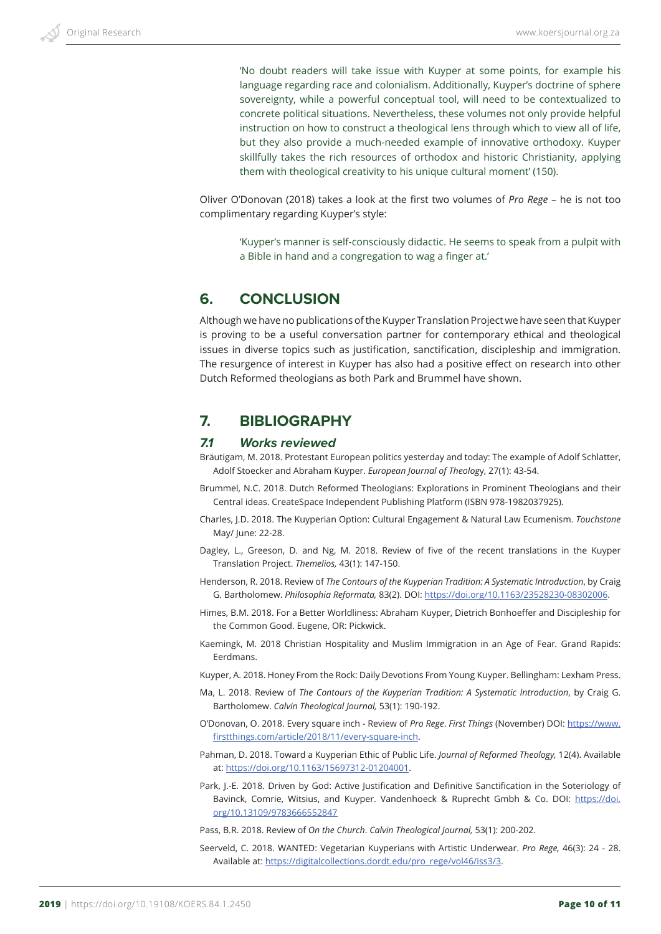'No doubt readers will take issue with Kuyper at some points, for example his language regarding race and colonialism. Additionally, Kuyper's doctrine of sphere sovereignty, while a powerful conceptual tool, will need to be contextualized to concrete political situations. Nevertheless, these volumes not only provide helpful instruction on how to construct a theological lens through which to view all of life, but they also provide a much-needed example of innovative orthodoxy. Kuyper skillfully takes the rich resources of orthodox and historic Christianity, applying them with theological creativity to his unique cultural moment' (150).

Oliver O'Donovan (2018) takes a look at the first two volumes of *Pro Rege* – he is not too complimentary regarding Kuyper's style:

'Kuyper's manner is self-consciously didactic. He seems to speak from a pulpit with a Bible in hand and a congregation to wag a finger at.'

## **6. CONCLUSION**

Although we have no publications of the Kuyper Translation Project we have seen that Kuyper is proving to be a useful conversation partner for contemporary ethical and theological issues in diverse topics such as justification, sanctification, discipleship and immigration. The resurgence of interest in Kuyper has also had a positive effect on research into other Dutch Reformed theologians as both Park and Brummel have shown.

## **7. BIBLIOGRAPHY**

## *7.1 Works reviewed*

Bräutigam, M. 2018. Protestant European politics yesterday and today: The example of Adolf Schlatter, Adolf Stoecker and Abraham Kuyper. *European Journal of Theolog*y, 27(1): 43-54.

- Brummel, N.C. 2018. Dutch Reformed Theologians: Explorations in Prominent Theologians and their Central ideas. CreateSpace Independent Publishing Platform (ISBN 978-1982037925).
- Charles, J.D. 2018. The Kuyperian Option: Cultural Engagement & Natural Law Ecumenism. *Touchstone* May/ June: 22-28.
- Dagley, L., Greeson, D. and Ng, M. 2018. Review of five of the recent translations in the Kuyper Translation Project. *Themelios,* 43(1): 147-150.
- Henderson, R. 2018. Review of *The Contours of the Kuyperian Tradition: A Systematic Introduction*, by Craig G. Bartholomew. *Philosophia Reformata,* 83(2). DOI: https://doi.org/10.1163/23528230-08302006.
- Himes, B.M. 2018. For a Better Worldliness: Abraham Kuyper, Dietrich Bonhoeffer and Discipleship for the Common Good. Eugene, OR: Pickwick.
- Kaemingk, M. 2018 Christian Hospitality and Muslim Immigration in an Age of Fear*.* Grand Rapids: Eerdmans.
- Kuyper, A. 2018. Honey From the Rock: Daily Devotions From Young Kuyper. Bellingham: Lexham Press.
- Ma, L. 2018. Review of *The Contours of the Kuyperian Tradition: A Systematic Introduction*, by Craig G. Bartholomew. *Calvin Theological Journal,* 53(1): 190-192.
- O'Donovan, O. 2018. Every square inch Review of *Pro Rege*. *First Things* (November) DOI: https://www. firstthings.com/article/2018/11/every-square-inch.
- Pahman, D. 2018. Toward a Kuyperian Ethic of Public Life. *Journal of Reformed Theology,* 12(4). Available at: https://doi.org/10.1163/15697312-01204001.
- Park, J.-E. 2018. Driven by God: Active Justification and Definitive Sanctification in the Soteriology of Bavinck, Comrie, Witsius, and Kuyper. Vandenhoeck & Ruprecht Gmbh & Co. DOI: https://doi. org/10.13109/9783666552847

Pass, B.R. 2018. Review of *On the Church*. *Calvin Theological Journal,* 53(1): 200-202.

Seerveld, C. 2018. WANTED: Vegetarian Kuyperians with Artistic Underwear. *Pro Rege,* 46(3): 24 - 28. Available at: https://digitalcollections.dordt.edu/pro\_rege/vol46/iss3/3.